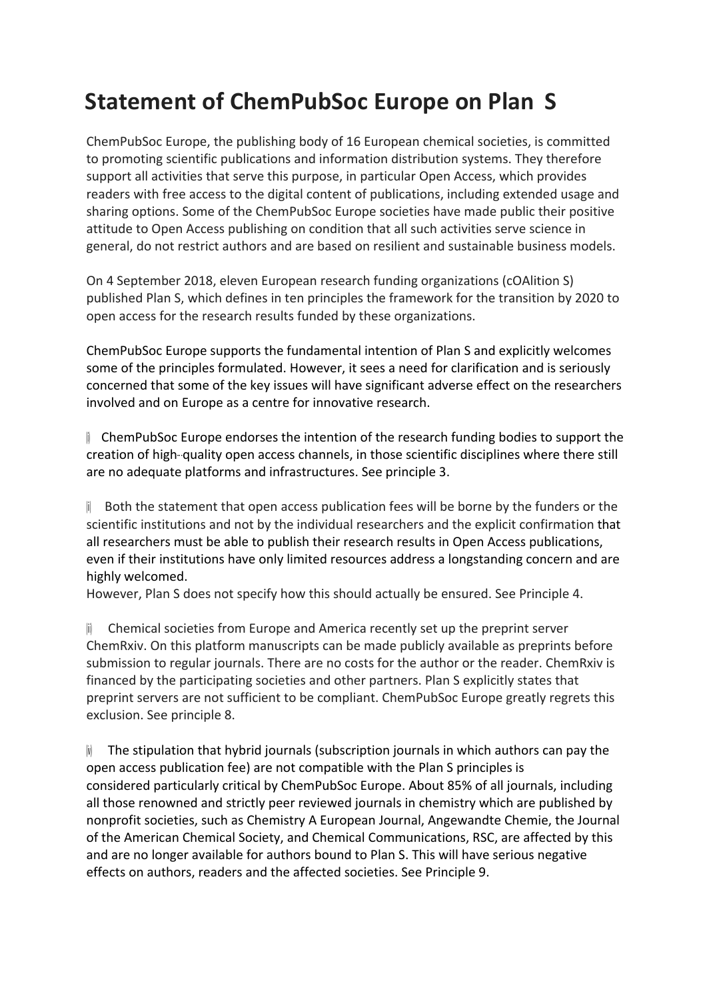## **Statement of ChemPubSoc Europe on Plan S**

ChemPubSoc Europe, the publishing body of 16 European chemical societies, is committed to promoting scientific publications and information distribution systems. They therefore support all activities that serve this purpose, in particular Open Access, which provides readers with free access to the digital content of publications, including extended usage and sharing options. Some of the ChemPubSoc Europe societies have made public their positive attitude to Open Access publishing on condition that all such activities serve science in general, do not restrict authors and are based on resilient and sustainable business models.

On 4 September 2018, eleven European research funding organizations (cOAlition S) published Plan S, which defines in ten principles the framework for the transition by 2020 to open access for the research results funded by these organizations.

ChemPubSoc Europe supports the fundamental intention of Plan S and explicitly welcomes some of the principles formulated. However, it sees a need for clarification and is seriously concerned that some of the key issues will have significant adverse effect on the researchers involved and on Europe as a centre for innovative research.

 $\parallel$  ChemPubSoc Europe endorses the intention of the research funding bodies to support the creation of high-quality open access channels, in those scientific disciplines where there still are no adequate platforms and infrastructures. See principle 3.

 $\parallel$  Both the statement that open access publication fees will be borne by the funders or the scientific institutions and not by the individual researchers and the explicit confirmation that all researchers must be able to publish their research results in Open Access publications, even if their institutions have only limited resources address a longstanding concern and are highly welcomed.

However, Plan S does not specify how this should actually be ensured. See Principle 4.

Chemical societies from Europe and America recently set up the preprint server ChemRxiv. On this platform manuscripts can be made publicly available as preprints before submission to regular journals. There are no costs for the author or the reader. ChemRxiv is financed by the participating societies and other partners. Plan S explicitly states that preprint servers are not sufficient to be compliant. ChemPubSoc Europe greatly regrets this exclusion. See principle 8.

The stipulation that hybrid journals (subscription journals in which authors can pay the open access publication fee) are not compatible with the Plan S principles is considered particularly critical by ChemPubSoc Europe. About 85% of all journals, including all those renowned and strictly peer reviewed journals in chemistry which are published by nonprofit societies, such as Chemistry A European Journal, Angewandte Chemie, the Journal of the American Chemical Society, and Chemical Communications, RSC, are affected by this and are no longer available for authors bound to Plan S. This will have serious negative effects on authors, readers and the affected societies. See Principle 9.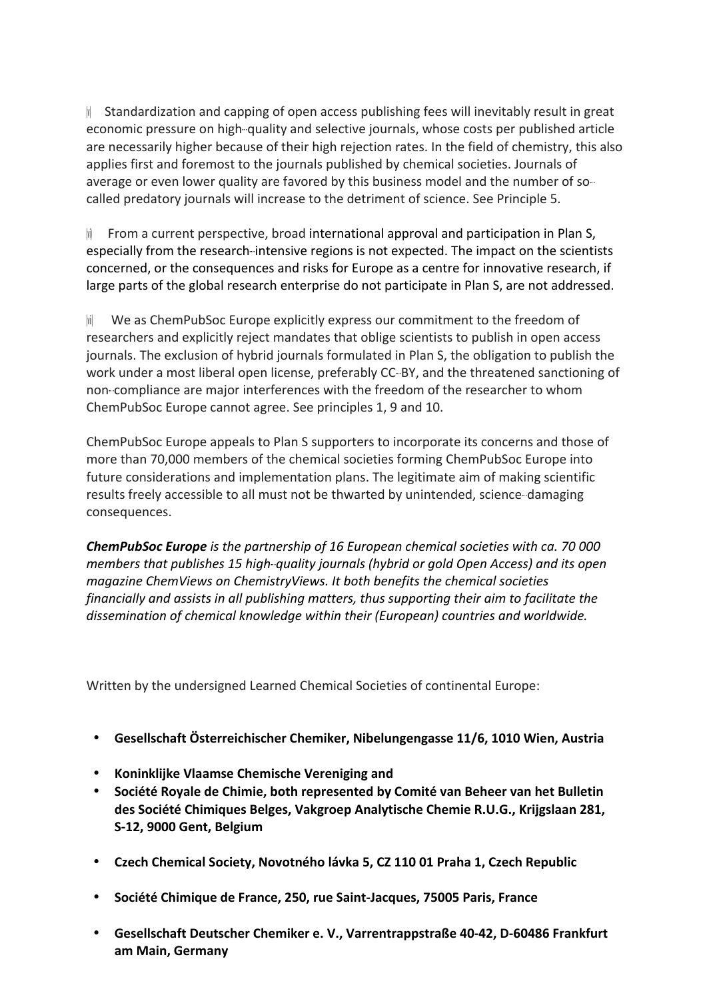$\parallel$  Standardization and capping of open access publishing fees will inevitably result in great economic pressure on high--quality and selective journals, whose costs per published article are necessarily higher because of their high rejection rates. In the field of chemistry, this also applies first and foremost to the journals published by chemical societies. Journals of average or even lower quality are favored by this business model and the number of so-called predatory journals will increase to the detriment of science. See Principle 5.

From a current perspective, broad international approval and participation in Plan S, especially from the research-intensive regions is not expected. The impact on the scientists concerned, or the consequences and risks for Europe as a centre for innovative research, if large parts of the global research enterprise do not participate in Plan S, are not addressed.

 $\vert \psi \vert$  We as ChemPubSoc Europe explicitly express our commitment to the freedom of researchers and explicitly reject mandates that oblige scientists to publish in open access journals. The exclusion of hybrid journals formulated in Plan S, the obligation to publish the work under a most liberal open license, preferably CC--BY, and the threatened sanctioning of non-compliance are major interferences with the freedom of the researcher to whom ChemPubSoc Europe cannot agree. See principles 1, 9 and 10.

ChemPubSoc Europe appeals to Plan S supporters to incorporate its concerns and those of more than 70,000 members of the chemical societies forming ChemPubSoc Europe into future considerations and implementation plans. The legitimate aim of making scientific results freely accessible to all must not be thwarted by unintended, science--damaging consequences.

**ChemPubSoc Europe** is the partnership of 16 European chemical societies with ca. 70 000 *members that publishes 15 high-quality journals (hybrid or gold Open Access) and its open magazine ChemViews on ChemistryViews. It both benefits the chemical societies financially and assists in all publishing matters, thus supporting their aim to facilitate the* dissemination of chemical knowledge within their (European) countries and worldwide.

Written by the undersigned Learned Chemical Societies of continental Europe:

- **Gesellschaft Österreichischer Chemiker, Nibelungengasse 11/6, 1010 Wien, Austria**
- **Koninklijke Vlaamse Chemische Vereniging and**
- Société Royale de Chimie, both represented by Comité van Beheer van het Bulletin **des Société Chimiques Belges, Vakgroep Analytische Chemie R.U.G., Krijgslaan 281, S-12, 9000 Gent, Belgium**
- **Czech Chemical Society, Novotného lávka 5, CZ 110 01 Praha 1, Czech Republic**
- Société Chimique de France, 250, rue Saint-Jacques, 75005 Paris, France
- Gesellschaft Deutscher Chemiker e. V., Varrentrappstraße 40-42, D-60486 Frankfurt **am Main, Germany**